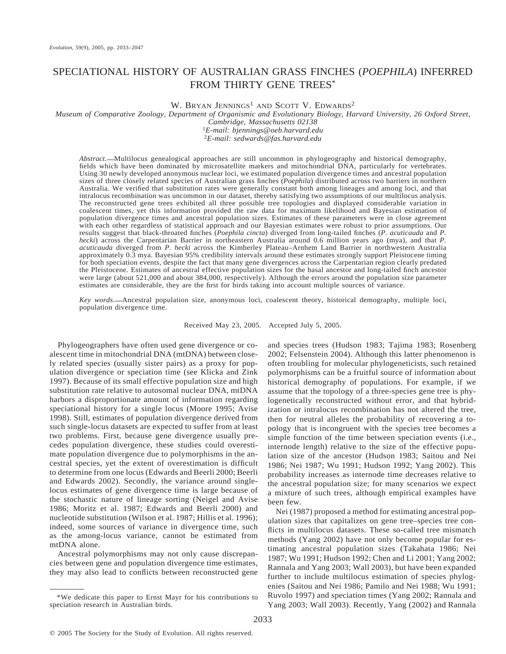# SPECIATIONAL HISTORY OF AUSTRALIAN GRASS FINCHES (*POEPHILA*) INFERRED FROM THIRTY GENE TREES\*

W. BRYAN JENNINGS<sup>1</sup> AND SCOTT V. EDWARDS<sup>2</sup>

*Museum of Comparative Zoology, Department of Organismic and Evolutionary Biology, Harvard University, 26 Oxford Street,*

*Cambridge, Massachusetts 02138*

<sup>1</sup>*E-mail: bjennings@oeb.harvard.edu* <sup>2</sup>*E-mail: sedwards@fas.harvard.edu*

*Abstract.* Multilocus genealogical approaches are still uncommon in phylogeography and historical demography, fields which have been dominated by microsatellite markers and mitochondrial DNA, particularly for vertebrates. Using 30 newly developed anonymous nuclear loci, we estimated population divergence times and ancestral population sizes of three closely related species of Australian grass finches (*Poephila*) distributed across two barriers in northern Australia. We verified that substitution rates were generally constant both among lineages and among loci, and that intralocus recombination was uncommon in our dataset, thereby satisfying two assumptions of our multilocus analysis. The reconstructed gene trees exhibited all three possible tree topologies and displayed considerable variation in coalescent times, yet this information provided the raw data for maximum likelihood and Bayesian estimation of population divergence times and ancestral population sizes. Estimates of these parameters were in close agreement with each other regardless of statistical approach and our Bayesian estimates were robust to prior assumptions. Our results suggest that black-throated finches (*Poephila cincta*) diverged from long-tailed finches (*P. acuticauda* and *P. hecki*) across the Carpentarian Barrier in northeastern Australia around 0.6 million years ago (mya), and that *P. acuticauda* diverged from *P. hecki* across the Kimberley Plateau–Arnhem Land Barrier in northwestern Australia approximately 0.3 mya. Bayesian 95% credibility intervals around these estimates strongly support Pleistocene timing for both speciation events, despite the fact that many gene divergences across the Carpentarian region clearly predated the Pleistocene. Estimates of ancestral effective population sizes for the basal ancestor and long-tailed finch ancestor were large (about 521,000 and about 384,000, respectively). Although the errors around the population size parameter estimates are considerable, they are the first for birds taking into account multiple sources of variance.

*Key words.* Ancestral population size, anonymous loci, coalescent theory, historical demography, multiple loci, population divergence time.

Received May 23, 2005. Accepted July 5, 2005.

Phylogeographers have often used gene divergence or coalescent time in mitochondrial DNA (mtDNA) between closely related species (usually sister pairs) as a proxy for population divergence or speciation time (see Klicka and Zink 1997). Because of its small effective population size and high substitution rate relative to autosomal nuclear DNA, mtDNA harbors a disproportionate amount of information regarding speciational history for a single locus (Moore 1995; Avise 1998). Still, estimates of population divergence derived from such single-locus datasets are expected to suffer from at least two problems. First, because gene divergence usually precedes population divergence, these studies could overestimate population divergence due to polymorphisms in the ancestral species, yet the extent of overestimation is difficult to determine from one locus (Edwards and Beerli 2000; Beerli and Edwards 2002). Secondly, the variance around singlelocus estimates of gene divergence time is large because of the stochastic nature of lineage sorting (Neigel and Avise 1986; Moritz et al. 1987; Edwards and Beerli 2000) and nucleotide substitution (Wilson et al. 1987; Hillis et al. 1996); indeed, some sources of variance in divergence time, such as the among-locus variance, cannot be estimated from mtDNA alone.

Ancestral polymorphisms may not only cause discrepancies between gene and population divergence time estimates, they may also lead to conflicts between reconstructed gene and species trees (Hudson 1983; Tajima 1983; Rosenberg 2002; Felsenstein 2004). Although this latter phenomenon is often troubling for molecular phylogeneticists, such retained polymorphisms can be a fruitful source of information about historical demography of populations. For example, if we assume that the topology of a three-species gene tree is phylogenetically reconstructed without error, and that hybridization or intralocus recombination has not altered the tree, then for neutral alleles the probability of recovering a topology that is incongruent with the species tree becomes a simple function of the time between speciation events (i.e., internode length) relative to the size of the effective population size of the ancestor (Hudson 1983; Saitou and Nei 1986; Nei 1987; Wu 1991; Hudson 1992; Yang 2002). This probability increases as internode time decreases relative to the ancestral population size; for many scenarios we expect a mixture of such trees, although empirical examples have been few.

Nei (1987) proposed a method for estimating ancestral population sizes that capitalizes on gene tree–species tree conflicts in multilocus datasets. These so-called tree mismatch methods (Yang 2002) have not only become popular for estimating ancestral population sizes (Takahata 1986; Nei 1987; Wu 1991; Hudson 1992; Chen and Li 2001; Yang 2002; Rannala and Yang 2003; Wall 2003), but have been expanded further to include multilocus estimation of species phylogenies (Saitou and Nei 1986; Pamilo and Nei 1988; Wu 1991; Ruvolo 1997) and speciation times (Yang 2002; Rannala and Yang 2003; Wall 2003). Recently, Yang (2002) and Rannala

<sup>\*</sup>We dedicate this paper to Ernst Mayr for his contributions to speciation research in Australian birds.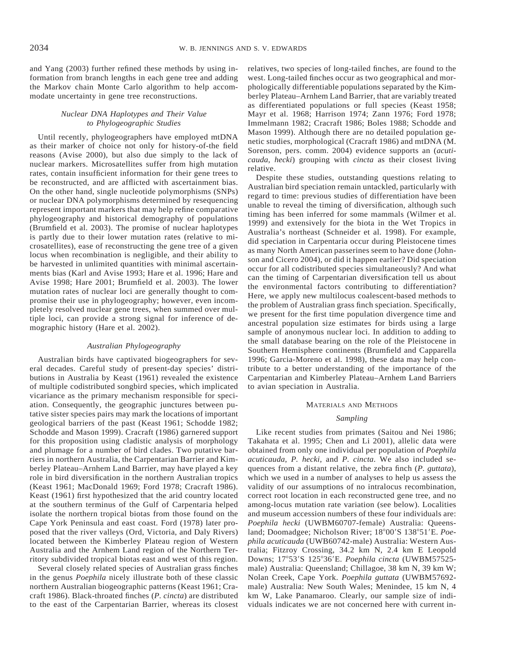and Yang (2003) further refined these methods by using information from branch lengths in each gene tree and adding the Markov chain Monte Carlo algorithm to help accommodate uncertainty in gene tree reconstructions.

# *Nuclear DNA Haplotypes and Their Value to Phylogeographic Studies*

Until recently, phylogeographers have employed mtDNA as their marker of choice not only for history-of-the field reasons (Avise 2000), but also due simply to the lack of nuclear markers. Microsatellites suffer from high mutation rates, contain insufficient information for their gene trees to be reconstructed, and are afflicted with ascertainment bias. On the other hand, single nucleotide polymorphisms (SNPs) or nuclear DNA polymorphisms determined by resequencing represent important markers that may help refine comparative phylogeography and historical demography of populations (Brumfield et al. 2003). The promise of nuclear haplotypes is partly due to their lower mutation rates (relative to microsatellites), ease of reconstructing the gene tree of a given locus when recombination is negligible, and their ability to be harvested in unlimited quantities with minimal ascertainments bias (Karl and Avise 1993; Hare et al. 1996; Hare and Avise 1998; Hare 2001; Brumfield et al. 2003). The lower mutation rates of nuclear loci are generally thought to compromise their use in phylogeography; however, even incompletely resolved nuclear gene trees, when summed over multiple loci, can provide a strong signal for inference of demographic history (Hare et al. 2002).

# *Australian Phylogeography*

Australian birds have captivated biogeographers for several decades. Careful study of present-day species' distributions in Australia by Keast (1961) revealed the existence of multiple codistributed songbird species, which implicated vicariance as the primary mechanism responsible for speciation. Consequently, the geographic junctures between putative sister species pairs may mark the locations of important geological barriers of the past (Keast 1961; Schodde 1982; Schodde and Mason 1999). Cracraft (1986) garnered support for this proposition using cladistic analysis of morphology and plumage for a number of bird clades. Two putative barriers in northern Australia, the Carpentarian Barrier and Kimberley Plateau–Arnhem Land Barrier, may have played a key role in bird diversification in the northern Australian tropics (Keast 1961; MacDonald 1969; Ford 1978; Cracraft 1986). Keast (1961) first hypothesized that the arid country located at the southern terminus of the Gulf of Carpentaria helped isolate the northern tropical biotas from those found on the Cape York Peninsula and east coast. Ford (1978) later proposed that the river valleys (Ord, Victoria, and Daly Rivers) located between the Kimberley Plateau region of Western Australia and the Arnhem Land region of the Northern Territory subdivided tropical biotas east and west of this region.

Several closely related species of Australian grass finches in the genus *Poephila* nicely illustrate both of these classic northern Australian biogeographic patterns (Keast 1961; Cracraft 1986). Black-throated finches (*P. cincta*) are distributed to the east of the Carpentarian Barrier, whereas its closest relatives, two species of long-tailed finches, are found to the west. Long-tailed finches occur as two geographical and morphologically differentiable populations separated by the Kimberley Plateau–Arnhem Land Barrier, that are variably treated as differentiated populations or full species (Keast 1958; Mayr et al. 1968; Harrison 1974; Zann 1976; Ford 1978; Immelmann 1982; Cracraft 1986; Boles 1988; Schodde and Mason 1999). Although there are no detailed population genetic studies, morphological (Cracraft 1986) and mtDNA (M. Sorenson, pers. comm. 2004) evidence supports an (*acuticauda*, *hecki*) grouping with *cincta* as their closest living relative.

Despite these studies, outstanding questions relating to Australian bird speciation remain untackled, particularly with regard to time: previous studies of differentiation have been unable to reveal the timing of diversification, although such timing has been inferred for some mammals (Wilmer et al. 1999) and extensively for the biota in the Wet Tropics in Australia's northeast (Schneider et al. 1998). For example, did speciation in Carpentaria occur during Pleistocene times as many North American passerines seem to have done (Johnson and Cicero 2004), or did it happen earlier? Did speciation occur for all codistributed species simultaneously? And what can the timing of Carpentarian diversification tell us about the environmental factors contributing to differentiation? Here, we apply new multilocus coalescent-based methods to the problem of Australian grass finch speciation. Specifically, we present for the first time population divergence time and ancestral population size estimates for birds using a large sample of anonymous nuclear loci. In addition to adding to the small database bearing on the role of the Pleistocene in Southern Hemisphere continents (Brumfield and Capparella 1996; Garcia-Moreno et al. 1998), these data may help contribute to a better understanding of the importance of the Carpentarian and Kimberley Plateau–Arnhem Land Barriers to avian speciation in Australia.

#### MATERIALS AND METHODS

### *Sampling*

Like recent studies from primates (Saitou and Nei 1986; Takahata et al. 1995; Chen and Li 2001), allelic data were obtained from only one individual per population of *Poephila acuticauda*, *P. hecki*, and *P. cincta*. We also included sequences from a distant relative, the zebra finch (*P. guttata*), which we used in a number of analyses to help us assess the validity of our assumptions of no intralocus recombination, correct root location in each reconstructed gene tree, and no among-locus mutation rate variation (see below). Localities and museum accession numbers of these four individuals are: *Poephila hecki* (UWBM60707-female) Australia: Queensland; Doomadgee; Nicholson River; 18°00'S 138°51'E. Poe*phila acuticauda* (UWB60742-male) Australia: Western Australia; Fitzroy Crossing, 34.2 km N, 2.4 km E Leopold Downs; 17°53'S 125°36'E. Poephila cincta (UWBM57525male) Australia: Queensland; Chillagoe, 38 km N, 39 km W; Nolan Creek, Cape York. *Poephila guttata* (UWBM57692 male) Australia: New South Wales; Menindee, 15 km N, 4 km W, Lake Panamaroo. Clearly, our sample size of individuals indicates we are not concerned here with current in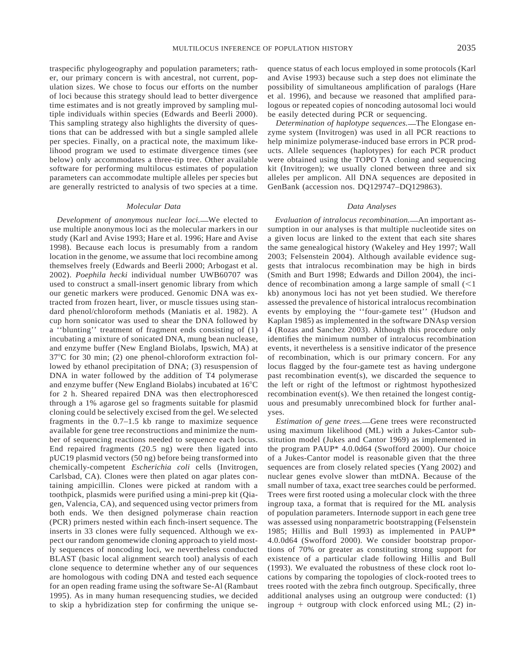traspecific phylogeography and population parameters; rather, our primary concern is with ancestral, not current, population sizes. We chose to focus our efforts on the number of loci because this strategy should lead to better divergence

time estimates and is not greatly improved by sampling multiple individuals within species (Edwards and Beerli 2000). This sampling strategy also highlights the diversity of questions that can be addressed with but a single sampled allele per species. Finally, on a practical note, the maximum likelihood program we used to estimate divergence times (see below) only accommodates a three-tip tree. Other available software for performing multilocus estimates of population parameters can accommodate multiple alleles per species but are generally restricted to analysis of two species at a time.

#### *Molecular Data*

*Development of anonymous nuclear loci*.—We elected to use multiple anonymous loci as the molecular markers in our study (Karl and Avise 1993; Hare et al. 1996; Hare and Avise 1998). Because each locus is presumably from a random location in the genome, we assume that loci recombine among themselves freely (Edwards and Beerli 2000; Arbogast et al. 2002). *Poephila hecki* individual number UWB60707 was used to construct a small-insert genomic library from which our genetic markers were produced. Genomic DNA was extracted from frozen heart, liver, or muscle tissues using standard phenol/chloroform methods (Maniatis et al. 1982). A cup horn sonicator was used to shear the DNA followed by a ''blunting'' treatment of fragment ends consisting of (1) incubating a mixture of sonicated DNA, mung bean nuclease, and enzyme buffer (New England Biolabs, Ipswich, MA) at  $37^{\circ}$ C for 30 min; (2) one phenol-chloroform extraction followed by ethanol precipitation of DNA; (3) resuspension of DNA in water followed by the addition of T4 polymerase and enzyme buffer (New England Biolabs) incubated at  $16^{\circ}$ C for 2 h. Sheared repaired DNA was then electrophoresced through a 1% agarose gel so fragments suitable for plasmid cloning could be selectively excised from the gel. We selected fragments in the 0.7–1.5 kb range to maximize sequence available for gene tree reconstructions and minimize the number of sequencing reactions needed to sequence each locus. End repaired fragments (20.5 ng) were then ligated into pUC19 plasmid vectors (50 ng) before being transformed into chemically-competent *Escherichia coli* cells (Invitrogen, Carlsbad, CA). Clones were then plated on agar plates containing ampicillin. Clones were picked at random with a toothpick, plasmids were purified using a mini-prep kit (Qiagen, Valencia, CA), and sequenced using vector primers from both ends. We then designed polymerase chain reaction (PCR) primers nested within each finch-insert sequence. The inserts in 33 clones were fully sequenced. Although we expect our random genomewide cloning approach to yield mostly sequences of noncoding loci, we nevertheless conducted BLAST (basic local alignment search tool) analysis of each clone sequence to determine whether any of our sequences are homologous with coding DNA and tested each sequence for an open reading frame using the software Se-Al (Rambaut 1995). As in many human resequencing studies, we decided to skip a hybridization step for confirming the unique sequence status of each locus employed in some protocols (Karl and Avise 1993) because such a step does not eliminate the possibility of simultaneous amplification of paralogs (Hare et al. 1996), and because we reasoned that amplified paralogous or repeated copies of noncoding autosomal loci would be easily detected during PCR or sequencing.

*Determination of haplotype sequences.* The Elongase enzyme system (Invitrogen) was used in all PCR reactions to help minimize polymerase-induced base errors in PCR products. Allele sequences (haplotypes) for each PCR product were obtained using the TOPO TA cloning and sequencing kit (Invitrogen); we usually cloned between three and six alleles per amplicon. All DNA sequences are deposited in GenBank (accession nos. DQ129747–DQ129863).

#### *Data Analyses*

*Evaluation of intralocus recombination.* An important assumption in our analyses is that multiple nucleotide sites on a given locus are linked to the extent that each site shares the same genealogical history (Wakeley and Hey 1997; Wall 2003; Felsenstein 2004). Although available evidence suggests that intralocus recombination may be high in birds (Smith and Burt 1998; Edwards and Dillon 2004), the incidence of recombination among a large sample of small  $(<1$ kb) anonymous loci has not yet been studied. We therefore assessed the prevalence of historical intralocus recombination events by employing the ''four-gamete test'' (Hudson and Kaplan 1985) as implemented in the software DNAsp version 4 (Rozas and Sanchez 2003). Although this procedure only identifies the minimum number of intralocus recombination events, it nevertheless is a sensitive indicator of the presence of recombination, which is our primary concern. For any locus flagged by the four-gamete test as having undergone past recombination event(s), we discarded the sequence to the left or right of the leftmost or rightmost hypothesized recombination event(s). We then retained the longest contiguous and presumably unrecombined block for further analyses.

Estimation of gene trees.**- Gene trees** were reconstructed using maximum likelihood (ML) with a Jukes-Cantor substitution model (Jukes and Cantor 1969) as implemented in the program PAUP\* 4.0.0d64 (Swofford 2000). Our choice of a Jukes-Cantor model is reasonable given that the three sequences are from closely related species (Yang 2002) and nuclear genes evolve slower than mtDNA. Because of the small number of taxa, exact tree searches could be performed. Trees were first rooted using a molecular clock with the three ingroup taxa, a format that is required for the ML analysis of population parameters. Internode support in each gene tree was assessed using nonparametric bootstrapping (Felsenstein 1985; Hillis and Bull 1993) as implemented in PAUP\* 4.0.0d64 (Swofford 2000). We consider bootstrap proportions of 70% or greater as constituting strong support for existence of a particular clade following Hillis and Bull (1993). We evaluated the robustness of these clock root locations by comparing the topologies of clock-rooted trees to trees rooted with the zebra finch outgroup. Specifically, three additional analyses using an outgroup were conducted: (1) ingroup  $+$  outgroup with clock enforced using ML; (2) in-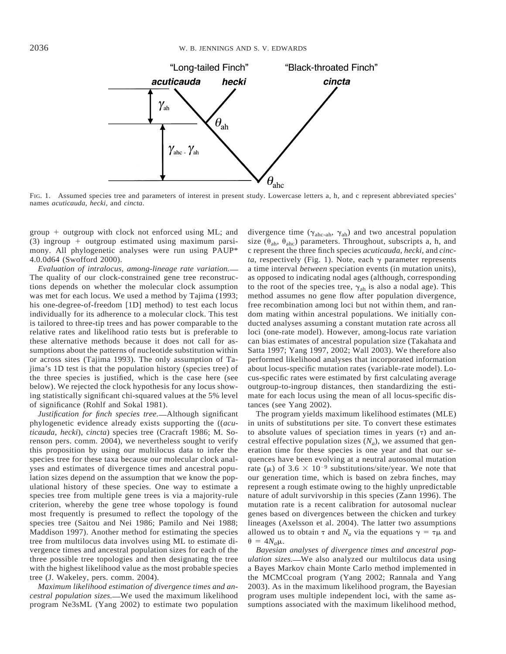

FIG. 1. Assumed species tree and parameters of interest in present study. Lowercase letters a, h, and c represent abbreviated species' names *acuticauda*, *hecki*, and *cincta*.

group  $+$  outgroup with clock not enforced using ML; and  $(3)$  ingroup + outgroup estimated using maximum parsimony. All phylogenetic analyses were run using PAUP\* 4.0.0d64 (Swofford 2000).

*Evaluation of intralocus, among-lineage rate variation.* The quality of our clock-constrained gene tree reconstructions depends on whether the molecular clock assumption was met for each locus. We used a method by Tajima (1993; his one-degree-of-freedom [1D] method) to test each locus individually for its adherence to a molecular clock. This test is tailored to three-tip trees and has power comparable to the relative rates and likelihood ratio tests but is preferable to these alternative methods because it does not call for assumptions about the patterns of nucleotide substitution within or across sites (Tajima 1993). The only assumption of Tajima's 1D test is that the population history (species tree) of the three species is justified, which is the case here (see below). We rejected the clock hypothesis for any locus showing statistically significant chi-squared values at the 5% level of significance (Rohlf and Sokal 1981).

*Justification for finch species tree.* Although significant phylogenetic evidence already exists supporting the ((*acuticauda*, *hecki*), *cincta*) species tree (Cracraft 1986; M. Sorenson pers. comm. 2004), we nevertheless sought to verify this proposition by using our multilocus data to infer the species tree for these taxa because our molecular clock analyses and estimates of divergence times and ancestral population sizes depend on the assumption that we know the populational history of these species. One way to estimate a species tree from multiple gene trees is via a majority-rule criterion, whereby the gene tree whose topology is found most frequently is presumed to reflect the topology of the species tree (Saitou and Nei 1986; Pamilo and Nei 1988; Maddison 1997). Another method for estimating the species tree from multilocus data involves using ML to estimate divergence times and ancestral population sizes for each of the three possible tree topologies and then designating the tree with the highest likelihood value as the most probable species tree (J. Wakeley, pers. comm. 2004).

*Maximum likelihood estimation of divergence times and ancestral population sizes.* We used the maximum likelihood program Ne3sML (Yang 2002) to estimate two population

divergence time ( $\gamma_{\text{abc-ab}}$ ,  $\gamma_{\text{ab}}$ ) and two ancestral population size ( $\theta_{ab}$ ,  $\theta_{abc}$ ) parameters. Throughout, subscripts a, h, and c represent the three finch species *acuticauda*, *hecki*, and *cincta*, respectively (Fig. 1). Note, each  $\gamma$  parameter represents a time interval *between* speciation events (in mutation units), as opposed to indicating nodal ages (although, corresponding to the root of the species tree,  $\gamma_{ab}$  is also a nodal age). This method assumes no gene flow after population divergence, free recombination among loci but not within them, and random mating within ancestral populations. We initially conducted analyses assuming a constant mutation rate across all loci (one-rate model). However, among-locus rate variation can bias estimates of ancestral population size (Takahata and Satta 1997; Yang 1997, 2002; Wall 2003). We therefore also performed likelihood analyses that incorporated information about locus-specific mutation rates (variable-rate model). Locus-specific rates were estimated by first calculating average outgroup-to-ingroup distances, then standardizing the estimate for each locus using the mean of all locus-specific distances (see Yang 2002).

The program yields maximum likelihood estimates (MLE) in units of substitutions per site. To convert these estimates to absolute values of speciation times in years  $(τ)$  and ancestral effective population sizes  $(N_a)$ , we assumed that generation time for these species is one year and that our sequences have been evolving at a neutral autosomal mutation rate ( $\mu$ ) of 3.6  $\times$  10<sup>-9</sup> substitutions/site/year. We note that our generation time, which is based on zebra finches, may represent a rough estimate owing to the highly unpredictable nature of adult survivorship in this species (Zann 1996). The mutation rate is a recent calibration for autosomal nuclear genes based on divergences between the chicken and turkey lineages (Axelsson et al. 2004). The latter two assumptions allowed us to obtain  $\tau$  and  $N_a$  via the equations  $\gamma = \tau \mu$  and  $\theta = 4N_a\mu$ .

*Bayesian analyses of divergence times and ancestral population sizes.* We also analyzed our multilocus data using a Bayes Markov chain Monte Carlo method implemented in the MCMCcoal program (Yang 2002; Rannala and Yang 2003). As in the maximum likelihood program, the Bayesian program uses multiple independent loci, with the same assumptions associated with the maximum likelihood method,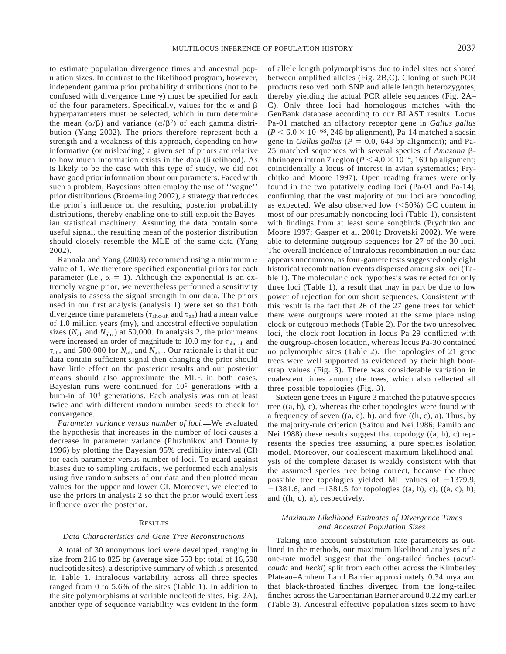to estimate population divergence times and ancestral population sizes. In contrast to the likelihood program, however, independent gamma prior probability distributions (not to be confused with divergence time  $\gamma$ ) must be specified for each of the four parameters. Specifically, values for the  $\alpha$  and  $\beta$ hyperparameters must be selected, which in turn determine the mean  $(\alpha/\beta)$  and variance  $(\alpha/\beta^2)$  of each gamma distribution (Yang 2002). The priors therefore represent both a strength and a weakness of this approach, depending on how informative (or misleading) a given set of priors are relative to how much information exists in the data (likelihood). As is likely to be the case with this type of study, we did not have good prior information about our parameters. Faced with such a problem, Bayesians often employ the use of ''vague'' prior distributions (Broemeling 2002), a strategy that reduces the prior's influence on the resulting posterior probability distributions, thereby enabling one to still exploit the Bayesian statistical machinery. Assuming the data contain some useful signal, the resulting mean of the posterior distribution should closely resemble the MLE of the same data (Yang 2002).

Rannala and Yang (2003) recommend using a minimum  $\alpha$ value of 1. We therefore specified exponential priors for each parameter (i.e.,  $\alpha = 1$ ). Although the exponential is an extremely vague prior, we nevertheless performed a sensitivity analysis to assess the signal strength in our data. The priors used in our first analysis (analysis 1) were set so that both divergence time parameters ( $\tau_{\text{ahc-ah}}$  and  $\tau_{\text{ah}}$ ) had a mean value of 1.0 million years (my), and ancestral effective population sizes ( $N_{\text{ah}}$  and  $N_{\text{abc}}$ ) at 50,000. In analysis 2, the prior means were increased an order of magnitude to 10.0 my for  $\tau_{\text{abc-ab}}$  and  $\tau_{\text{ah}}$ , and 500,000 for  $N_{\text{ah}}$  and  $N_{\text{ahc}}$ . Our rationale is that if our data contain sufficient signal then changing the prior should have little effect on the posterior results and our posterior means should also approximate the MLE in both cases. Bayesian runs were continued for 106 generations with a burn-in of 104 generations. Each analysis was run at least twice and with different random number seeds to check for convergence.

Parameter variance versus number of loci.—We evaluated the hypothesis that increases in the number of loci causes a decrease in parameter variance (Pluzhnikov and Donnelly 1996) by plotting the Bayesian 95% credibility interval (CI) for each parameter versus number of loci. To guard against biases due to sampling artifacts, we performed each analysis using five random subsets of our data and then plotted mean values for the upper and lower CI. Moreover, we elected to use the priors in analysis 2 so that the prior would exert less influence over the posterior.

### **RESULTS**

### *Data Characteristics and Gene Tree Reconstructions*

A total of 30 anonymous loci were developed, ranging in size from 216 to 825 bp (average size 553 bp; total of 16,598 nucleotide sites), a descriptive summary of which is presented in Table 1. Intralocus variability across all three species ranged from 0 to 5.6% of the sites (Table 1). In addition to the site polymorphisms at variable nucleotide sites, Fig. 2A), another type of sequence variability was evident in the form

of allele length polymorphisms due to indel sites not shared between amplified alleles (Fig. 2B,C). Cloning of such PCR products resolved both SNP and allele length heterozygotes, thereby yielding the actual PCR allele sequences (Fig. 2A– C). Only three loci had homologous matches with the GenBank database according to our BLAST results. Locus Pa-01 matched an olfactory receptor gene in *Gallus gallus*  $(P < 6.0 \times 10^{-68}$ , 248 bp alignment), Pa-14 matched a sacsin gene in *Gallus gallus* ( $P = 0.0$ , 648 bp alignment); and Pa-25 matched sequences with several species of *Amazona* bfibrinogen intron 7 region ( $P < 4.0 \times 10^{-4}$ , 169 bp alignment; coincidentally a locus of interest in avian systematics; Prychitko and Moore 1997). Open reading frames were only found in the two putatively coding loci (Pa-01 and Pa-14), confirming that the vast majority of our loci are noncoding as expected. We also observed low  $(<50\%)$  GC content in most of our presumably noncoding loci (Table 1), consistent with findings from at least some songbirds (Prychitko and Moore 1997; Gasper et al. 2001; Drovetski 2002). We were able to determine outgroup sequences for 27 of the 30 loci. The overall incidence of intralocus recombination in our data appears uncommon, as four-gamete tests suggested only eight historical recombination events dispersed among six loci (Table 1). The molecular clock hypothesis was rejected for only three loci (Table 1), a result that may in part be due to low power of rejection for our short sequences. Consistent with this result is the fact that 26 of the 27 gene trees for which there were outgroups were rooted at the same place using clock or outgroup methods (Table 2). For the two unresolved loci, the clock-root location in locus Pa-29 conflicted with the outgroup-chosen location, whereas locus Pa-30 contained no polymorphic sites (Table 2). The topologies of 21 gene trees were well supported as evidenced by their high bootstrap values (Fig. 3). There was considerable variation in coalescent times among the trees, which also reflected all three possible topologies (Fig. 3).

Sixteen gene trees in Figure 3 matched the putative species tree ((a, h), c), whereas the other topologies were found with a frequency of seven  $((a, c), h)$ , and five  $((h, c), a)$ . Thus, by the majority-rule criterion (Saitou and Nei 1986; Pamilo and Nei 1988) these results suggest that topology ((a, h), c) represents the species tree assuming a pure species isolation model. Moreover, our coalescent-maximum likelihood analysis of the complete dataset is weakly consistent with that the assumed species tree being correct, because the three possible tree topologies yielded ML values of  $-1379.9$ ,  $-1381.6$ , and  $-1381.5$  for topologies ((a, h), c), ((a, c), h), and ((h, c), a), respectively.

### *Maximum Likelihood Estimates of Divergence Times and Ancestral Population Sizes*

Taking into account substitution rate parameters as outlined in the methods, our maximum likelihood analyses of a one-rate model suggest that the long-tailed finches (*acuticauda* and *hecki*) split from each other across the Kimberley Plateau–Arnhem Land Barrier approximately 0.34 mya and that black-throated finches diverged from the long-tailed finches across the Carpentarian Barrier around 0.22 my earlier (Table 3). Ancestral effective population sizes seem to have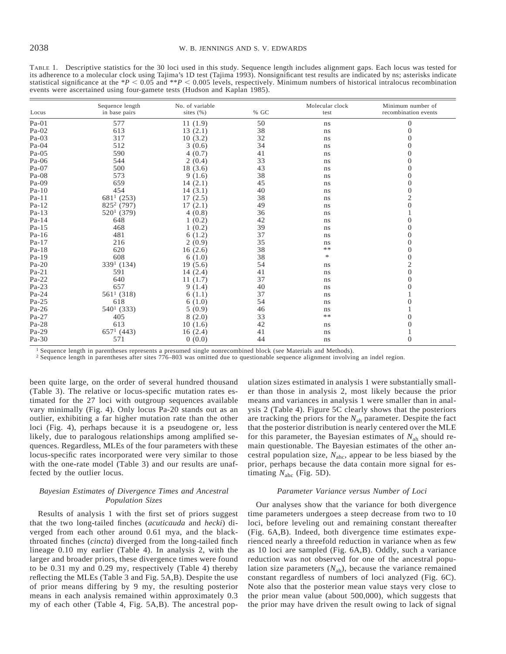TABLE 1. Descriptive statistics for the 30 loci used in this study. Sequence length includes alignment gaps. Each locus was tested for its adherence to a molecular clock using Tajima's 1D test (Tajima 1993). Nonsignificant test results are indicated by ns; asterisks indicate statistical significance at the  $*P < 0.05$  and  $*P < 0.005$  levels, respectively. Minimum numbers of historical intralocus recombination events were ascertained using four-gamete tests (Hudson and Kaplan 1985).

| Locus   | Sequence length<br>in base pairs | No. of variable<br>sites $(\% )$ | % GC | Molecular clock<br>test | Minimum number of<br>recombination events |
|---------|----------------------------------|----------------------------------|------|-------------------------|-------------------------------------------|
| $Pa-01$ | 577                              | 11(1.9)                          | 50   | ns                      | $\boldsymbol{0}$                          |
| Pa-02   | 613                              | 13(2.1)                          | 38   | ns                      | $\mathbf{0}$                              |
| Pa-03   | 317                              | 10(3.2)                          | 32   | ns                      | $\overline{0}$                            |
| Pa-04   | 512                              | 3(0.6)                           | 34   | ns                      | $\overline{0}$                            |
| Pa-05   | 590                              | 4(0.7)                           | 41   | ns                      | $\boldsymbol{0}$                          |
| Pa-06   | 544                              | 2(0.4)                           | 33   | ns                      | $\overline{0}$                            |
| Pa-07   | 500                              | 18(3.6)                          | 43   | ns                      | $\boldsymbol{0}$                          |
| Pa-08   | 573                              | 9(1.6)                           | 38   | ns                      | $\overline{0}$                            |
| Pa-09   | 659                              | 14(2.1)                          | 45   | ns                      | $\boldsymbol{0}$                          |
| $Pa-10$ | 454                              | 14(3.1)                          | 40   | ns                      | $\boldsymbol{0}$                          |
| Pa-11   | $6811$ (253)                     | 17(2.5)                          | 38   | ns                      | $\sqrt{2}$                                |
| Pa-12   | $825^2$ (797)                    | 17(2.1)                          | 49   | ns                      | $\boldsymbol{0}$                          |
| Pa-13   | $520^1$ (379)                    | 4(0.8)                           | 36   | ns                      |                                           |
| Pa-14   | 648                              | 1(0.2)                           | 42   | ns                      | $\mathbf{0}$                              |
| Pa-15   | 468                              | 1(0.2)                           | 39   | ns                      | $\boldsymbol{0}$                          |
| Pa-16   | 481                              | 6(1.2)                           | 37   | ns                      | $\overline{0}$                            |
| Pa-17   | 216                              | 2(0.9)                           | 35   | ns                      | $\boldsymbol{0}$                          |
| Pa-18   | 620                              | 16(2.6)                          | 38   | $\ast\ast$              | $\boldsymbol{0}$                          |
| Pa-19   | 608                              | 6(1.0)                           | 38   | $\approx$               | $\boldsymbol{0}$                          |
| $Pa-20$ | $3391$ (134)                     | 19(5.6)                          | 54   | ns                      | $\overline{c}$                            |
| $Pa-21$ | 591                              | 14(2.4)                          | 41   | ns                      | $\boldsymbol{0}$                          |
| Pa-22   | 640                              | 11(1.7)                          | 37   | ns                      | $\mathbf{0}$                              |
| Pa-23   | 657                              | 9(1.4)                           | 40   | ns                      | $\boldsymbol{0}$                          |
| Pa-24   | $5611$ (318)                     | 6(1.1)                           | 37   | ns                      |                                           |
| Pa-25   | 618                              | 6(1.0)                           | 54   | ns                      | $\boldsymbol{0}$                          |
| $Pa-26$ | $5401$ (333)                     | 5(0.9)                           | 46   | ns                      |                                           |
| Pa-27   | 405                              | 8(2.0)                           | 33   | $**$                    | $\mathbf{0}$                              |
| Pa-28   | 613                              | 10(1.6)                          | 42   | ns                      | $\boldsymbol{0}$                          |
| Pa-29   | $6571$ (443)                     | 16(2.4)                          | 41   | ns                      | $\mathbf{1}$                              |
| Pa-30   | 571                              | 0(0.0)                           | 44   | ns                      | $\overline{0}$                            |

<sup>1</sup> Sequence length in parentheses represents a presumed single nonrecombined block (see Materials and Methods).

<sup>2</sup> Sequence length in parentheses after sites 776–803 was omitted due to questionable sequence alignment involving an indel region.

been quite large, on the order of several hundred thousand (Table 3). The relative or locus-specific mutation rates estimated for the 27 loci with outgroup sequences available vary minimally (Fig. 4). Only locus Pa-20 stands out as an outlier, exhibiting a far higher mutation rate than the other loci (Fig. 4), perhaps because it is a pseudogene or, less likely, due to paralogous relationships among amplified sequences. Regardless, MLEs of the four parameters with these locus-specific rates incorporated were very similar to those with the one-rate model (Table 3) and our results are unaffected by the outlier locus.

# *Bayesian Estimates of Divergence Times and Ancestral Population Sizes*

Results of analysis 1 with the first set of priors suggest that the two long-tailed finches (*acuticauda* and *hecki*) diverged from each other around 0.61 mya, and the blackthroated finches (*cincta*) diverged from the long-tailed finch lineage 0.10 my earlier (Table 4). In analysis 2, with the larger and broader priors, these divergence times were found to be 0.31 my and 0.29 my, respectively (Table 4) thereby reflecting the MLEs (Table 3 and Fig. 5A,B). Despite the use of prior means differing by 9 my, the resulting posterior means in each analysis remained within approximately 0.3 my of each other (Table 4, Fig. 5A,B). The ancestral population sizes estimated in analysis 1 were substantially smaller than those in analysis 2, most likely because the prior means and variances in analysis 1 were smaller than in analysis 2 (Table 4). Figure 5C clearly shows that the posteriors are tracking the priors for the *N*ah parameter. Despite the fact that the posterior distribution is nearly centered over the MLE for this parameter, the Bayesian estimates of *N*ah should remain questionable. The Bayesian estimates of the other ancestral population size,  $N_{\text{abc}}$ , appear to be less biased by the prior, perhaps because the data contain more signal for estimating  $N_{\text{ahc}}$  (Fig. 5D).

# *Parameter Variance versus Number of Loci*

Our analyses show that the variance for both divergence time parameters undergoes a steep decrease from two to 10 loci, before leveling out and remaining constant thereafter (Fig. 6A,B). Indeed, both divergence time estimates experienced nearly a threefold reduction in variance when as few as 10 loci are sampled (Fig. 6A,B). Oddly, such a variance reduction was not observed for one of the ancestral population size parameters  $(N_{ab})$ , because the variance remained constant regardless of numbers of loci analyzed (Fig. 6C). Note also that the posterior mean value stays very close to the prior mean value (about 500,000), which suggests that the prior may have driven the result owing to lack of signal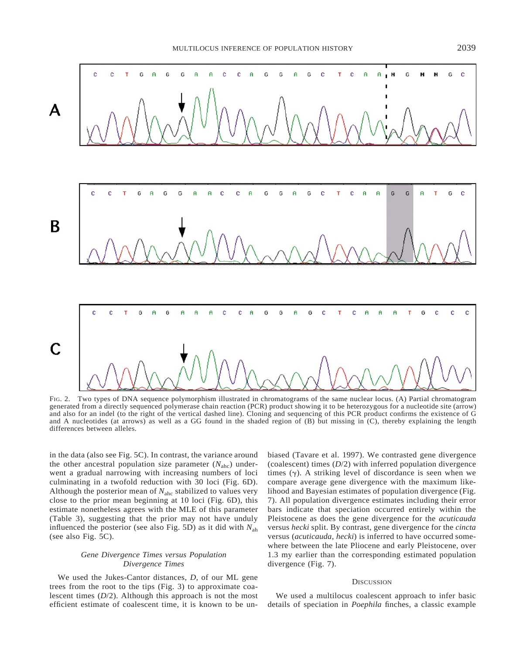

FIG. 2. Two types of DNA sequence polymorphism illustrated in chromatograms of the same nuclear locus. (A) Partial chromatogram generated from a directly sequenced polymerase chain reaction (PCR) product showing it to be heterozygous for a nucleotide site (arrow) and also for an indel (to the right of the vertical dashed line). Cloning and sequencing of this PCR product confirms the existence of G and A nucleotides (at arrows) as well as a GG found in the shaded region of (B) but missing in (C), thereby explaining the length differences between alleles.

in the data (also see Fig. 5C). In contrast, the variance around the other ancestral population size parameter  $(N_{abc})$  underwent a gradual narrowing with increasing numbers of loci culminating in a twofold reduction with 30 loci (Fig. 6D). Although the posterior mean of  $N_{abc}$  stabilized to values very close to the prior mean beginning at 10 loci (Fig. 6D), this estimate nonetheless agrees with the MLE of this parameter (Table 3), suggesting that the prior may not have unduly influenced the posterior (see also Fig. 5D) as it did with *N*ah (see also Fig. 5C).

# *Gene Divergence Times versus Population Divergence Times*

We used the Jukes-Cantor distances, *D,* of our ML gene trees from the root to the tips (Fig. 3) to approximate coalescent times (*D*/2). Although this approach is not the most efficient estimate of coalescent time, it is known to be unbiased (Tavare et al. 1997). We contrasted gene divergence (coalescent) times (*D*/2) with inferred population divergence times  $(y)$ . A striking level of discordance is seen when we compare average gene divergence with the maximum likelihood and Bayesian estimates of population divergence (Fig. 7). All population divergence estimates including their error bars indicate that speciation occurred entirely within the Pleistocene as does the gene divergence for the *acuticauda* versus *hecki* split. By contrast, gene divergence for the *cincta* versus (*acuticauda*, *hecki*) is inferred to have occurred somewhere between the late Pliocene and early Pleistocene, over 1.3 my earlier than the corresponding estimated population divergence (Fig. 7).

# **DISCUSSION**

We used a multilocus coalescent approach to infer basic details of speciation in *Poephila* finches, a classic example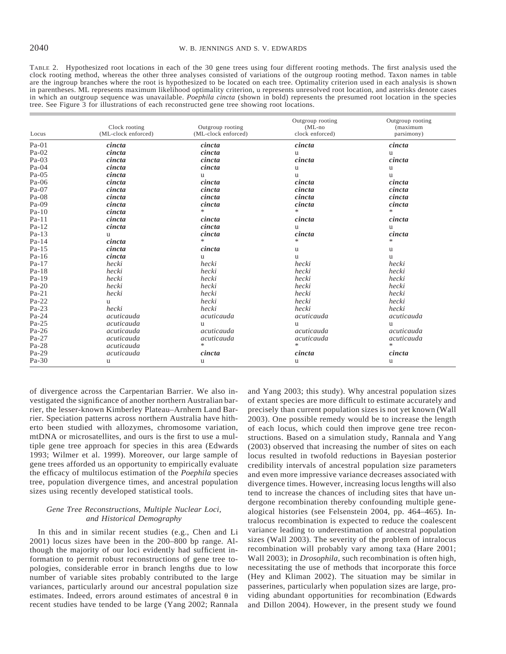TABLE 2. Hypothesized root locations in each of the 30 gene trees using four different rooting methods. The first analysis used the clock rooting method, whereas the other three analyses consisted of variations of the outgroup rooting method. Taxon names in table are the ingroup branches where the root is hypothesized to be located on each tree. Optimality criterion used in each analysis is shown in parentheses. ML represents maximum likelihood optimality criterion, u represents unresolved root location, and asterisks denote cases in which an outgroup sequence was unavailable. *Poephila cincta* (shown in bold) represents the presumed root location in the species tree. See Figure 3 for illustrations of each reconstructed gene tree showing root locations.

|         | Clock rooting<br>(ML-clock enforced) | Outgroup rooting    | Outgroup rooting<br>$(ML-no)$ | Outgroup rooting<br>(maximum |
|---------|--------------------------------------|---------------------|-------------------------------|------------------------------|
| Locus   |                                      | (ML-clock enforced) | clock enforced)               | parsimony)                   |
| $Pa-01$ | cincta                               | cincta              | cincta                        | cincta                       |
| $Pa-02$ | cincta                               | cincta              | u                             | u                            |
| $Pa-03$ | cincta                               | cincta              | cincta                        | cincta                       |
| $Pa-04$ | cincta                               | cincta              | u                             | u                            |
| $Pa-05$ | cincta                               | u                   | u                             | u                            |
| Pa-06   | cincta                               | cincta              | cincta                        | cincta                       |
| Pa-07   | cincta                               | cincta              | cincta                        | cincta                       |
| $Pa-08$ | cincta                               | cincta              | cincta                        | cincta                       |
| $Pa-09$ | cincta                               | cincta              | cincta                        | cincta                       |
| $Pa-10$ | cincta                               | $\ast$              | $\ast$                        | $\ast$                       |
| $Pa-11$ | cincta                               | cincta              | cincta                        | cincta                       |
| $Pa-12$ | cincta                               | cincta              | u                             | u                            |
| $Pa-13$ | u                                    | cincta              | cincta                        | cincta                       |
| $Pa-14$ | cincta                               | $\ast$              | $\ast$                        | *                            |
| $Pa-15$ | cincta                               | cincta              | u                             | u                            |
| Pa-16   | cincta                               | u                   | u                             | <b>u</b>                     |
| Pa-17   | hecki                                | hecki               | hecki                         | hecki                        |
| $Pa-18$ | hecki                                | hecki               | hecki                         | hecki                        |
| Pa-19   | hecki                                | hecki               | hecki                         | hecki                        |
| $Pa-20$ | hecki                                | hecki               | hecki                         | hecki                        |
| $Pa-21$ | hecki                                | hecki               | hecki                         | hecki                        |
| $Pa-22$ | <b>u</b>                             | hecki               | hecki                         | hecki                        |
| $Pa-23$ | hecki                                | hecki               | hecki                         | hecki                        |
| Pa-24   | acuticauda                           | acuticauda          | acuticauda                    | acuticauda                   |
| $Pa-25$ | acuticauda                           | u                   | u                             | u                            |
| Pa-26   | acuticauda                           | acuticauda          | acuticauda                    | acuticauda                   |
| Pa-27   | acuticauda                           | acuticauda          | acuticauda                    | acuticauda                   |
| Pa-28   | acuticauda                           | $\ast$              | $\ast$                        | $\ast$                       |
| Pa-29   | acuticauda                           | cincta              | cincta                        | cincta                       |
| $Pa-30$ | u                                    | u                   | u                             | u                            |

of divergence across the Carpentarian Barrier. We also investigated the significance of another northern Australian barrier, the lesser-known Kimberley Plateau–Arnhem Land Barrier. Speciation patterns across northern Australia have hitherto been studied with allozymes, chromosome variation, mtDNA or microsatellites, and ours is the first to use a multiple gene tree approach for species in this area (Edwards 1993; Wilmer et al. 1999). Moreover, our large sample of gene trees afforded us an opportunity to empirically evaluate the efficacy of multilocus estimation of the *Poephila* species tree, population divergence times, and ancestral population sizes using recently developed statistical tools.

### *Gene Tree Reconstructions, Multiple Nuclear Loci, and Historical Demography*

In this and in similar recent studies (e.g., Chen and Li 2001) locus sizes have been in the 200–800 bp range. Although the majority of our loci evidently had sufficient information to permit robust reconstructions of gene tree topologies, considerable error in branch lengths due to low number of variable sites probably contributed to the large variances, particularly around our ancestral population size estimates. Indeed, errors around estimates of ancestral  $\theta$  in recent studies have tended to be large (Yang 2002; Rannala and Yang 2003; this study). Why ancestral population sizes of extant species are more difficult to estimate accurately and precisely than current population sizes is not yet known (Wall 2003). One possible remedy would be to increase the length of each locus, which could then improve gene tree reconstructions. Based on a simulation study, Rannala and Yang (2003) observed that increasing the number of sites on each locus resulted in twofold reductions in Bayesian posterior credibility intervals of ancestral population size parameters and even more impressive variance decreases associated with divergence times. However, increasing locus lengths will also tend to increase the chances of including sites that have undergone recombination thereby confounding multiple genealogical histories (see Felsenstein 2004, pp. 464–465). Intralocus recombination is expected to reduce the coalescent variance leading to underestimation of ancestral population sizes (Wall 2003). The severity of the problem of intralocus recombination will probably vary among taxa (Hare 2001; Wall 2003); in *Drosophila*, such recombination is often high, necessitating the use of methods that incorporate this force (Hey and Kliman 2002). The situation may be similar in passerines, particularly when population sizes are large, providing abundant opportunities for recombination (Edwards and Dillon 2004). However, in the present study we found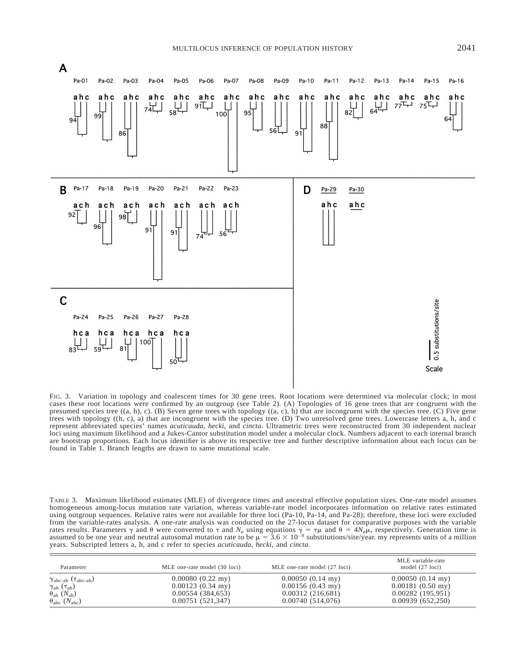

FIG. 3. Variation in topology and coalescent times for 30 gene trees. Root locations were determined via molecular clock; in most cases these root locations were confirmed by an outgroup (see Table 2). (A) Topologies of 16 gene trees that are congruent with the presumed species tree ((a, h), c). (B) Seven gene trees with topology ((a, c), h) that are incongruent with the species tree. (C) Five gene trees with topology ((h, c), a) that are incongruent with the species tree. (D) Two unresolved gene trees. Lowercase letters a, h, and c represent abbreviated species' names *acuticauda*, *hecki*, and *cincta*. Ultrametric trees were reconstructed from 30 independent nuclear loci using maximum likelihood and a Jukes-Cantor substitution model under a molecular clock. Numbers adjacent to each internal branch are bootstrap proportions. Each locus identifier is above its respective tree and further descriptive information about each locus can be found in Table 1. Branch lengths are drawn to same mutational scale.

TABLE 3. Maximum likelihood estimates (MLE) of divergence times and ancestral effective population sizes. One-rate model assumes homogeneous among-locus mutation rate variation, whereas variable-rate model incorporates information on relative rates estimated using outgroup sequences. Relative rates were not available for three loci (Pa-10, Pa-14, and Pa-28); therefore, these loci were excluded from the variable-rates analysis. A one-rate analysis was conducted on the 27-locus dataset for comparative purposes with the variable rates results. Parameters  $\gamma$  and  $\theta$  were converted to  $\tau$  and  $N_a$  using equations  $\gamma = \tau \mu$  and  $\theta = 4N_a\mu$ , respectively. Generation time is assumed to be one year and neutral autosomal mutation rate to be  $\mu = 3.6$ years. Subscripted letters a, h, and c refer to species *acuticauda*, *hecki*, and *cincta*.

| Parameter                                           | MLE one-rate model (30 loci) | MLE one-rate model (27 loci) | MLE variable-rate<br>model (27 loci) |
|-----------------------------------------------------|------------------------------|------------------------------|--------------------------------------|
| $\gamma_{\text{ahc-ah}}$ ( $\tau_{\text{ahc-ah}}$ ) | $0.00080(0.22 \text{ my})$   | $0.00050(0.14 \text{ my})$   | $0.00050(0.14 \text{ my})$           |
| $\gamma_{\rm ah}$ ( $\tau_{\rm ah}$ )               | $0.00123(0.34 \text{ my})$   | $0.00156(0.43 \text{ my})$   | $0.00181(0.50 \text{ my})$           |
| $\theta_{\rm ah}$ (N <sub>ah</sub> )                | 0.00554(384,653)             | 0.00312(216,681)             | 0.00282(195.951)                     |
| $\theta_{abc}$ (N <sub>ahc</sub> )                  | 0.00751(521,347)             | 0.00740(514,076)             | 0.00939(652,250)                     |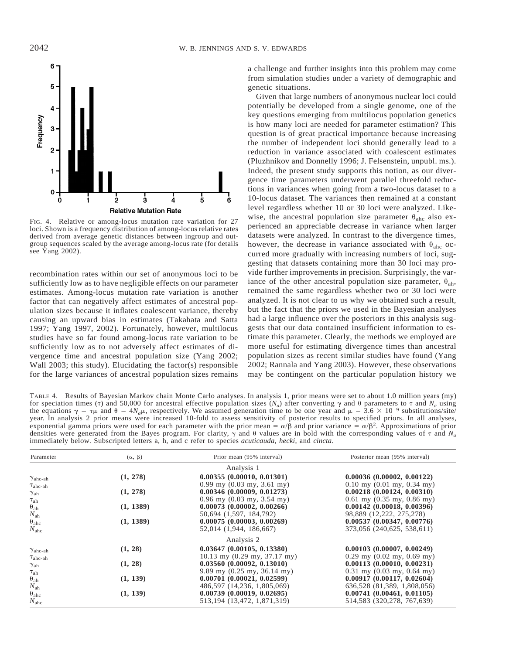

FIG. 4. Relative or among-locus mutation rate variation for 27 loci. Shown is a frequency distribution of among-locus relative rates derived from average genetic distances between ingroup and outgroup sequences scaled by the average among-locus rate (for details see Yang 2002).

recombination rates within our set of anonymous loci to be sufficiently low as to have negligible effects on our parameter estimates. Among-locus mutation rate variation is another factor that can negatively affect estimates of ancestral population sizes because it inflates coalescent variance, thereby causing an upward bias in estimates (Takahata and Satta 1997; Yang 1997, 2002). Fortunately, however, multilocus studies have so far found among-locus rate variation to be sufficiently low as to not adversely affect estimates of divergence time and ancestral population size (Yang 2002; Wall 2003; this study). Elucidating the factor(s) responsible for the large variances of ancestral population sizes remains

a challenge and further insights into this problem may come from simulation studies under a variety of demographic and genetic situations.

Given that large numbers of anonymous nuclear loci could potentially be developed from a single genome, one of the key questions emerging from multilocus population genetics is how many loci are needed for parameter estimation? This question is of great practical importance because increasing the number of independent loci should generally lead to a reduction in variance associated with coalescent estimates (Pluzhnikov and Donnelly 1996; J. Felsenstein, unpubl. ms.). Indeed, the present study supports this notion, as our divergence time parameters underwent parallel threefold reductions in variances when going from a two-locus dataset to a 10-locus dataset. The variances then remained at a constant level regardless whether 10 or 30 loci were analyzed. Likewise, the ancestral population size parameter  $\theta_{abc}$  also experienced an appreciable decrease in variance when larger datasets were analyzed. In contrast to the divergence times, however, the decrease in variance associated with  $\theta_{abc}$  occurred more gradually with increasing numbers of loci, suggesting that datasets containing more than 30 loci may provide further improvements in precision. Surprisingly, the variance of the other ancestral population size parameter,  $\theta_{ab}$ , remained the same regardless whether two or 30 loci were analyzed. It is not clear to us why we obtained such a result, but the fact that the priors we used in the Bayesian analyses had a large influence over the posteriors in this analysis suggests that our data contained insufficient information to estimate this parameter. Clearly, the methods we employed are more useful for estimating divergence times than ancestral population sizes as recent similar studies have found (Yang 2002; Rannala and Yang 2003). However, these observations may be contingent on the particular population history we

TABLE 4. Results of Bayesian Markov chain Monte Carlo analyses. In analysis 1, prior means were set to about 1.0 million years (my) for speciation times ( $\tau$ ) and 50,000 for ancestral effective population sizes ( $N_a$ ) after converting  $\gamma$  and  $\theta$  parameters to  $\tau$  and  $N_a$  using the equations  $\gamma = \tau \mu$  and  $\theta = 4N_a\mu$ , respectively. We assumed generation time to be one year and  $\mu = 3.6 \times 10^{-9}$  substitutions/site/ year. In analysis 2 prior means were increased 10-fold to assess sensitivity of posterior results to specified priors. In all analyses, exponential gamma priors were used for each parameter with the prior mean =  $\alpha/\beta$  and prior variance =  $\alpha/\beta^2$ . Approximations of prior densities were generated from the Bayes program. For clarity,  $\gamma$  and  $\theta$  values are in bold with the corresponding values of  $\tau$  and  $N_a$ immediately below. Subscripted letters a, h, and c refer to species *acuticauda*, *hecki*, and *cincta*.

| Parameter                                                                                  | $(\alpha, \beta)$ | Prior mean (95% interval)                     | Posterior mean (95% interval)    |
|--------------------------------------------------------------------------------------------|-------------------|-----------------------------------------------|----------------------------------|
|                                                                                            |                   | Analysis 1                                    |                                  |
| $\gamma_{\rm ahc\text{-}ah}$                                                               | (1, 278)          | 0.00355(0.00010, 0.01301)                     | 0.00036(0.00002, 0.00122)        |
| $\tau_{\text{ahc-ah}}$                                                                     |                   | $0.99$ my $(0.03$ my, $3.61$ my)              | $0.10$ my $(0.01$ my, $0.34$ my) |
| $\gamma_{\mathrm{ah}}$                                                                     | (1, 278)          | 0.00346(0.00009, 0.01273)                     | 0.00218(0.00124, 0.00310)        |
|                                                                                            |                   | $0.96$ my $(0.03$ my, $3.54$ my)              | $0.61$ my $(0.35$ my, $0.86$ my) |
| $\begin{array}{c} \tau_{\mathrm{ah}}\\ \theta_{\mathrm{ah}}\\ N_{\mathrm{ah}} \end{array}$ | (1, 1389)         | 0.00073(0.00002, 0.00266)                     | 0.00142(0.00018, 0.00396)        |
|                                                                                            |                   | 50,694 (1,597, 184,792)                       | 98,889 (12,222, 275,278)         |
| $\theta_{abc}$                                                                             | (1, 1389)         | 0.00075(0.00003, 0.00269)                     | 0.00537(0.00347, 0.00776)        |
| $N_{abc}$                                                                                  |                   | 52,014 (1,944, 186,667)                       | 373,056 (240,625, 538,611)       |
|                                                                                            |                   | Analysis 2                                    |                                  |
| $\gamma_{\text{ahc-ah}}$                                                                   | (1, 28)           | 0.03647(0.00105, 0.13380)                     | 0.00103(0.00007, 0.00249)        |
| $\tau_{\text{ahc-ah}}$                                                                     |                   | $10.13$ my $(0.29$ my, $37.17$ my)            | $0.29$ my $(0.02$ my, $0.69$ my) |
| $\gamma_{\mathrm{ah}}$                                                                     | (1, 28)           | 0.03560(0.00092, 0.13010)                     | 0.00113(0.00010, 0.00231)        |
| $\tau_{\text{ah}}$                                                                         |                   | 9.89 my $(0.25 \text{ my}, 36.14 \text{ my})$ | $0.31$ my $(0.03$ my, $0.64$ my) |
|                                                                                            | (1, 139)          | 0.00701(0.00021, 0.02599)                     | 0.00917(0.00117, 0.02604)        |
| $\theta_{\text{ah}}$<br>$N_{\text{ah}}$                                                    |                   | 486,597 (14,236, 1,805,069)                   | 636, 528 (81, 389, 1, 808, 056)  |
| $\theta_{abc}$                                                                             | (1, 139)          | 0.00739(0.00019, 0.02695)                     | 0.00741(0.00461, 0.01105)        |
| $N_{\text{abc}}$                                                                           |                   | 513, 194 (13, 472, 1, 871, 319)               | 514, 583 (320, 278, 767, 639)    |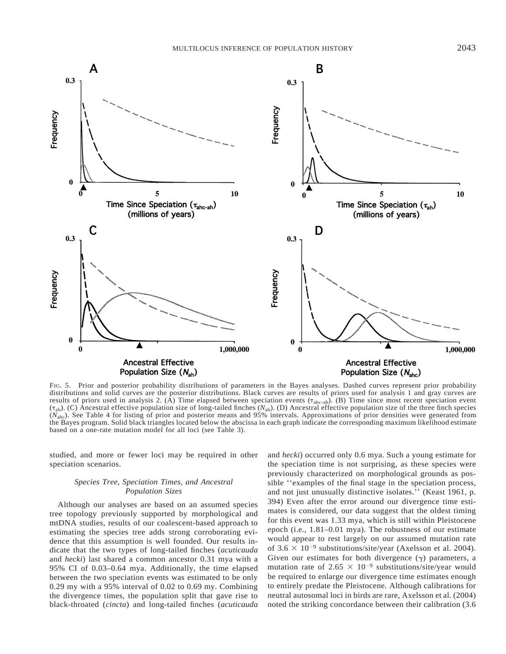

FIG. 5. Prior and posterior probability distributions of parameters in the Bayes analyses. Dashed curves represent prior probability distributions and solid curves are the posterior distributions. Black curves are results of priors used for analysis 1 and gray curves are results of priors used in analysis 2. (A) Time elapsed between speciation events  $(\tau_{\text{ahc-ah}})$ . (B) Time since most recent speciation event (tah). (C) Ancestral effective population size of long-tailed finches (*N*ah). (D) Ancestral effective population size of the three finch species (*N*ahc). See Table 4 for listing of prior and posterior means and 95% intervals. Approximations of prior densities were generated from the Bayes program. Solid black triangles located below the abscissa in each graph indicate the corresponding maximum likelihood estimate based on a one-rate mutation model for all loci (see Table 3).

studied, and more or fewer loci may be required in other speciation scenarios.

# *Species Tree, Speciation Times, and Ancestral Population Sizes*

Although our analyses are based on an assumed species tree topology previously supported by morphological and mtDNA studies, results of our coalescent-based approach to estimating the species tree adds strong corroborating evidence that this assumption is well founded. Our results indicate that the two types of long-tailed finches (*acuticauda* and *hecki*) last shared a common ancestor 0.31 mya with a 95% CI of 0.03–0.64 mya. Additionally, the time elapsed between the two speciation events was estimated to be only 0.29 my with a 95% interval of 0.02 to 0.69 my. Combining the divergence times, the population split that gave rise to black-throated (*cincta*) and long-tailed finches (*acuticauda*

and *hecki*) occurred only 0.6 mya. Such a young estimate for the speciation time is not surprising, as these species were previously characterized on morphological grounds as possible ''examples of the final stage in the speciation process, and not just unusually distinctive isolates.'' (Keast 1961, p. 394) Even after the error around our divergence time estimates is considered, our data suggest that the oldest timing for this event was 1.33 mya, which is still within Pleistocene epoch (i.e., 1.81–0.01 mya). The robustness of our estimate would appear to rest largely on our assumed mutation rate of  $3.6 \times 10^{-9}$  substitutions/site/year (Axelsson et al. 2004). Given our estimates for both divergence  $(\gamma)$  parameters, a mutation rate of 2.65  $\times$  10<sup>-9</sup> substitutions/site/year would be required to enlarge our divergence time estimates enough to entirely predate the Pleistocene. Although calibrations for neutral autosomal loci in birds are rare, Axelsson et al. (2004) noted the striking concordance between their calibration (3.6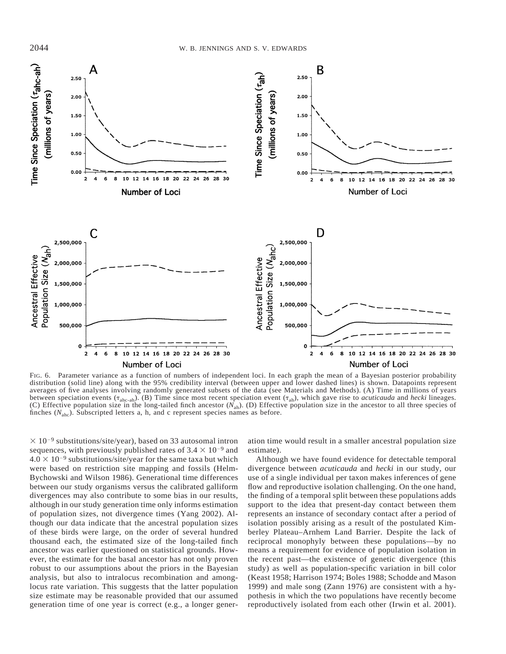

FIG. 6. Parameter variance as a function of numbers of independent loci. In each graph the mean of a Bayesian posterior probability distribution (solid line) along with the 95% credibility interval (between upper and lower dashed lines) is shown. Datapoints represent averages of five analyses involving randomly generated subsets of the data (see Materials and Methods). (A) Time in millions of years between speciation events  $(\tau_{abc-ab})$ . (B) Time since most recent speciation event  $(\tau_{ab})$ , which gave rise to *acuticauda* and *hecki* lineages. (C) Effective population size in the long-tailed finch ancestor  $(N_{ab})$ . (D) Effective population size in the ancestor to all three species of finches  $(N_{\text{abc}})$ . Subscripted letters a, h, and c represent species names as before.

 $\times$  10<sup>-9</sup> substitutions/site/year), based on 33 autosomal intron sequences, with previously published rates of  $3.4 \times 10^{-9}$  and  $4.0 \times 10^{-9}$  substitutions/site/year for the same taxa but which were based on restriction site mapping and fossils (Helm-Bychowski and Wilson 1986). Generational time differences between our study organisms versus the calibrated galliform divergences may also contribute to some bias in our results, although in our study generation time only informs estimation of population sizes, not divergence times (Yang 2002). Although our data indicate that the ancestral population sizes of these birds were large, on the order of several hundred thousand each, the estimated size of the long-tailed finch ancestor was earlier questioned on statistical grounds. However, the estimate for the basal ancestor has not only proven robust to our assumptions about the priors in the Bayesian analysis, but also to intralocus recombination and amonglocus rate variation. This suggests that the latter population size estimate may be reasonable provided that our assumed generation time of one year is correct (e.g., a longer gener-

ation time would result in a smaller ancestral population size estimate).

Although we have found evidence for detectable temporal divergence between *acuticauda* and *hecki* in our study, our use of a single individual per taxon makes inferences of gene flow and reproductive isolation challenging. On the one hand, the finding of a temporal split between these populations adds support to the idea that present-day contact between them represents an instance of secondary contact after a period of isolation possibly arising as a result of the postulated Kimberley Plateau–Arnhem Land Barrier. Despite the lack of reciprocal monophyly between these populations—by no means a requirement for evidence of population isolation in the recent past—the existence of genetic divergence (this study) as well as population-specific variation in bill color (Keast 1958; Harrison 1974; Boles 1988; Schodde and Mason 1999) and male song (Zann 1976) are consistent with a hypothesis in which the two populations have recently become reproductively isolated from each other (Irwin et al. 2001).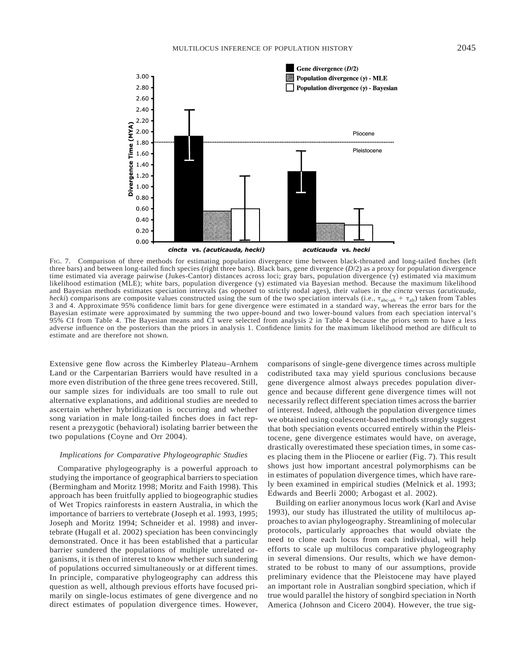

FIG. 7. Comparison of three methods for estimating population divergence time between black-throated and long-tailed finches (left three bars) and between long-tailed finch species (right three bars). Black bars, gene divergence (*D*/2) as a proxy for population divergence time estimated via average pairwise (Jukes-Cantor) distances across loci; gray bars, population divergence  $(\gamma)$  estimated via maximum likelihood estimation (MLE); white bars, population divergence  $(\gamma)$  estimated via Bayesian method. Because the maximum likelihood and Bayesian methods estimates speciation intervals (as opposed to strictly nodal ages), their values in the *cincta* versus (*acuticauda*, *hecki*) comparisons are composite values constructed using the sum of the two speciation intervals (i.e.,  $\tau_{\text{ahc}-\text{ah}} + \tau_{\text{ah}}$ ) taken from Tables 3 and 4. Approximate 95% confidence limit bars for gene divergence we Bayesian estimate were approximated by summing the two upper-bound and two lower-bound values from each speciation interval's 95% CI from Table 4. The Bayesian means and CI were selected from analysis 2 in Table 4 because the priors seem to have a less adverse influence on the posteriors than the priors in analysis 1. Confidence limits for the maximum likelihood method are difficult to estimate and are therefore not shown.

Extensive gene flow across the Kimberley Plateau–Arnhem Land or the Carpentarian Barriers would have resulted in a more even distribution of the three gene trees recovered. Still, our sample sizes for individuals are too small to rule out alternative explanations, and additional studies are needed to ascertain whether hybridization is occurring and whether song variation in male long-tailed finches does in fact represent a prezygotic (behavioral) isolating barrier between the two populations (Coyne and Orr 2004).

### *Implications for Comparative Phylogeographic Studies*

Comparative phylogeography is a powerful approach to studying the importance of geographical barriers to speciation (Bermingham and Moritz 1998; Moritz and Faith 1998). This approach has been fruitfully applied to biogeographic studies of Wet Tropics rainforests in eastern Australia, in which the importance of barriers to vertebrate (Joseph et al. 1993, 1995; Joseph and Moritz 1994; Schneider et al. 1998) and invertebrate (Hugall et al. 2002) speciation has been convincingly demonstrated. Once it has been established that a particular barrier sundered the populations of multiple unrelated organisms, it is then of interest to know whether such sundering of populations occurred simultaneously or at different times. In principle, comparative phylogeography can address this question as well, although previous efforts have focused primarily on single-locus estimates of gene divergence and no direct estimates of population divergence times. However, comparisons of single-gene divergence times across multiple codistributed taxa may yield spurious conclusions because gene divergence almost always precedes population divergence and because different gene divergence times will not necessarily reflect different speciation times across the barrier of interest. Indeed, although the population divergence times we obtained using coalescent-based methods strongly suggest that both speciation events occurred entirely within the Pleistocene, gene divergence estimates would have, on average, drastically overestimated these speciation times, in some cases placing them in the Pliocene or earlier (Fig. 7). This result shows just how important ancestral polymorphisms can be in estimates of population divergence times, which have rarely been examined in empirical studies (Melnick et al. 1993; Edwards and Beerli 2000; Arbogast et al. 2002).

Building on earlier anonymous locus work (Karl and Avise 1993), our study has illustrated the utility of multilocus approaches to avian phylogeography. Streamlining of molecular protocols, particularly approaches that would obviate the need to clone each locus from each individual, will help efforts to scale up multilocus comparative phylogeography in several dimensions. Our results, which we have demonstrated to be robust to many of our assumptions, provide preliminary evidence that the Pleistocene may have played an important role in Australian songbird speciation, which if true would parallel the history of songbird speciation in North America (Johnson and Cicero 2004). However, the true sig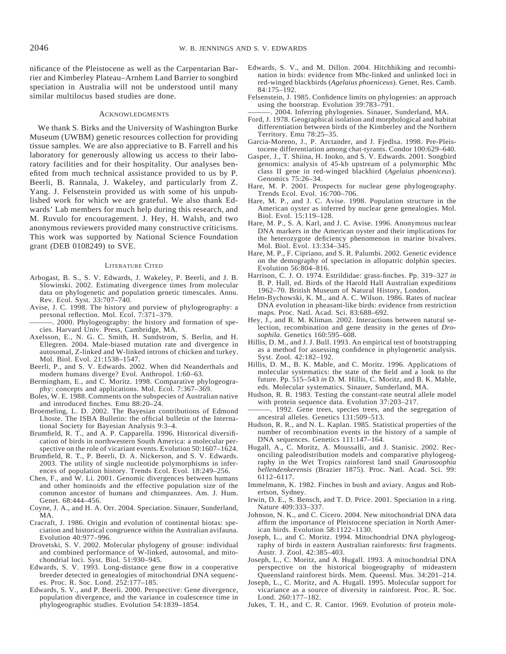nificance of the Pleistocene as well as the Carpentarian Barrier and Kimberley Plateau–Arnhem Land Barrier to songbird speciation in Australia will not be understood until many similar multilocus based studies are done.

#### **ACKNOWLEDGMENTS**

We thank S. Birks and the University of Washington Burke Museum (UWBM) genetic resources collection for providing tissue samples. We are also appreciative to B. Farrell and his laboratory for generously allowing us access to their laboratory facilities and for their hospitality. Our analyses benefited from much technical assistance provided to us by P. Beerli, B. Rannala, J. Wakeley, and particularly from Z. Yang. J. Felsenstein provided us with some of his unpublished work for which we are grateful. We also thank Edwards' Lab members for much help during this research, and M. Ruvulo for encouragement. J. Hey, H. Walsh, and two anonymous reviewers provided many constructive criticisms. This work was supported by National Science Foundation grant (DEB 0108249) to SVE.

#### LITERATURE CITED

- Arbogast, B. S., S. V. Edwards, J. Wakeley, P. Beerli, and J. B. Slowinski. 2002. Estimating divergence times from molecular data on phylogenetic and population genetic timescales. Annu. Rev. Ecol. Syst. 33:707–740.
- Avise, J. C. 1998. The history and purview of phylogeography: a personal reflection. Mol. Ecol. 7:371–379.
- . 2000. Phylogeography: the history and formation of species. Harvard Univ. Press, Cambridge, MA.
- Axelsson, E., N. G. C. Smith, H. Sundstrom, S. Berlin, and H. Ellegren. 2004. Male-biased mutation rate and divergence in autosomal, Z-linked and W-linked introns of chicken and turkey. Mol. Biol. Evol. 21:1538–1547.
- Beerli, P., and S. V. Edwards. 2002. When did Neanderthals and modern humans diverge? Evol. Anthropol. 1:60–63.
- Bermingham, E., and C. Moritz. 1998. Comparative phylogeography: concepts and applications. Mol. Ecol. 7:367–369.
- Boles, W. E. 1988. Comments on the subspecies of Australian native and introduced finches. Emu 88:20–24.
- Broemeling, L. D. 2002. The Bayesian contributions of Edmond Lhoste. The ISBA Bulletin: the official bulletin of the International Society for Bayesian Analysis 9:3–4.
- Brumfield, R. T., and A. P. Capparella. 1996. Historical diversification of birds in northwestern South America: a molecular perspective on the role of vicariant events. Evolution 50:1607–1624.
- Brumfield, R. T., P. Beerli, D. A. Nickerson, and S. V. Edwards. 2003. The utility of single nucleotide polymorphisms in inferences of population history. Trends Ecol. Evol. 18:249–256.
- Chen, F., and W. Li. 2001. Genomic divergences between humans and other hominoids and the effective population size of the common ancestor of humans and chimpanzees. Am. J. Hum. Genet. 68:444–456.
- Coyne, J. A., and H. A. Orr. 2004. Speciation. Sinauer, Sunderland, MA.
- Cracraft, J. 1986. Origin and evolution of continental biotas: speciation and historical congruence within the Australian avifauna. Evolution 40:977–996.
- Drovetski, S. V. 2002. Molecular phylogeny of grouse: individual and combined performance of W-linked, autosomal, and mitochondrial loci. Syst. Biol. 51:930–945.
- Edwards, S. V. 1993. Long-distance gene flow in a cooperative breeder detected in genealogies of mitochondrial DNA sequences. Proc. R. Soc. Lond. 252:177–185.
- Edwards, S. V., and P. Beerli. 2000. Perspective: Gene divergence, population divergence, and the variance in coalescence time in phylogeographic studies. Evolution 54:1839–1854.
- Edwards, S. V., and M. Dillon. 2004. Hitchhiking and recombination in birds: evidence from Mhc-linked and unlinked loci in red-winged blackbirds (*Agelaius phoeniceus*). Genet. Res. Camb. 84:175–192.
- Felsenstein, J. 1985. Confidence limits on phylogenies: an approach using the bootstrap. Evolution 39:783–791.

2004. Inferring phylogenies. Sinauer, Sunderland, MA.

- Ford, J. 1978. Geographical isolation and morphological and habitat differentiation between birds of the Kimberley and the Northern Territory. Emu 78:25–35.
- Garcia-Moreno, J., P. Arctander, and J. Fjedlsa. 1998. Pre-Pleistocene differentiation among chat-tyrants. Condor 100:629–640.
- Gasper, J., T. Shiina, H. Inoko, and S. V. Edwards. 2001. Songbird genomics: analysis of 45-kb upstream of a polymorphic Mhc class II gene in red-winged blackbird (*Agelaius phoeniceus*). Genomics 75:26–34.
- Hare, M. P. 2001. Prospects for nuclear gene phylogeography. Trends Ecol. Evol. 16:700–706.
- Hare, M. P., and J. C. Avise. 1998. Population structure in the American oyster as inferred by nuclear gene genealogies. Mol. Biol. Evol. 15:119–128.
- Hare, M. P., S. A. Karl, and J. C. Avise. 1996. Anonymous nuclear DNA markers in the American oyster and their implications for the heterozygote deficiency phenomenon in marine bivalves. Mol. Biol. Evol. 13:334–345.
- Hare, M. P., F. Cipriano, and S. R. Palumbi. 2002. Genetic evidence on the demography of speciation in allopatric dolphin species. Evolution 56:804–816.
- Harrison, C. J. O. 1974. Estrildidae: grass-finches. Pp. 319–327 *in* B. P. Hall, ed. Birds of the Harold Hall Australian expeditions 1962–70. British Museum of Natural History, London.
- Helm-Bychowski, K. M., and A. C. Wilson. 1986. Rates of nuclear DNA evolution in pheasant-like birds: evidence from restriction maps. Proc. Natl. Acad. Sci. 83:688–692.
- Hey, J., and R. M. Kliman. 2002. Interactions between natural selection, recombination and gene density in the genes of *Drosophila*. Genetics 160:595–608.
- Hillis, D. M., and J. J. Bull. 1993. An empirical test of bootstrapping as a method for assessing confidence in phylogenetic analysis. Syst. Zool. 42:182–192.
- Hillis, D. M., B. K. Mable, and C. Moritz. 1996. Applications of molecular systematics: the state of the field and a look to the future. Pp. 515–543 *in* D. M. Hillis, C. Moritz, and B. K. Mable, eds. Molecular systematics. Sinauer, Sunderland, MA.
- Hudson, R. R. 1983. Testing the constant-rate neutral allele model with protein sequence data. Evolution 37:203–217.
- ———. 1992. Gene trees, species trees, and the segregation of ancestral alleles. Genetics 131:509–513.
- Hudson, R. R., and N. L. Kaplan. 1985. Statistical properties of the number of recombination events in the history of a sample of DNA sequences. Genetics 111:147–164.
- Hugall, A., C. Moritz, A. Moussalli, and J. Stanisic. 2002. Reconciling paleodistribution models and comparative phylogeography in the Wet Tropics rainforest land snail *Gnarosoophia bellendenkerensis* (Brazier 1875). Proc. Natl. Acad. Sci. 99: 6112–6117.
- Immelmann, K. 1982. Finches in bush and aviary. Angus and Robertson, Sydney.
- Irwin, D. E., S. Bensch, and T. D. Price. 2001. Speciation in a ring. Nature 409:333–337.
- Johnson, N. K., and C. Cicero. 2004. New mitochondrial DNA data affirm the importance of Pleistocene speciation in North American birds. Evolution 58:1122–1130.
- Joseph, L., and C. Moritz. 1994. Mitochondrial DNA phylogeography of birds in eastern Australian rainforests: first fragments. Austr. J. Zool. 42:385–403.
- Joseph, L., C. Moritz, and A. Hugall. 1993. A mitochondrial DNA perspective on the historical biogeography of mideastern Queensland rainforest birds. Mem. Queensl. Mus. 34:201–214.
- Joseph, L., C. Moritz, and A. Hugall. 1995. Molecular support for vicariance as a source of diversity in rainforest. Proc. R. Soc. Lond. 260:177–182.
- Jukes, T. H., and C. R. Cantor. 1969. Evolution of protein mole-